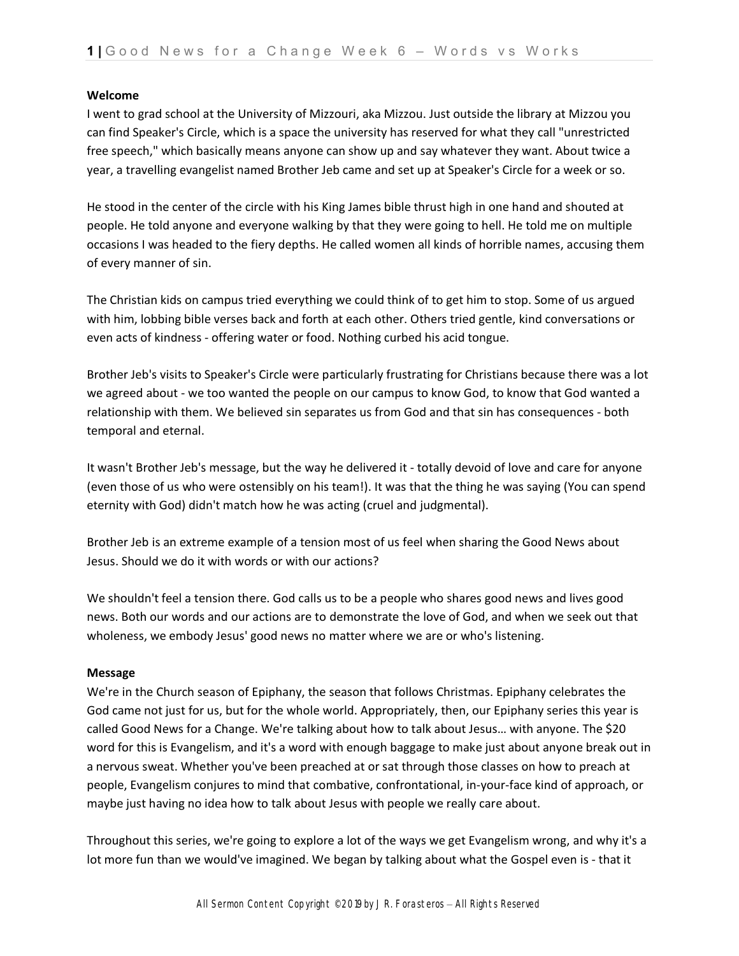## **Welcome**

I went to grad school at the University of Mizzouri, aka Mizzou. Just outside the library at Mizzou you can find Speaker's Circle, which is a space the university has reserved for what they call "unrestricted free speech," which basically means anyone can show up and say whatever they want. About twice a year, a travelling evangelist named Brother Jeb came and set up at Speaker's Circle for a week or so.

He stood in the center of the circle with his King James bible thrust high in one hand and shouted at people. He told anyone and everyone walking by that they were going to hell. He told me on multiple occasions I was headed to the fiery depths. He called women all kinds of horrible names, accusing them of every manner of sin.

The Christian kids on campus tried everything we could think of to get him to stop. Some of us argued with him, lobbing bible verses back and forth at each other. Others tried gentle, kind conversations or even acts of kindness - offering water or food. Nothing curbed his acid tongue.

Brother Jeb's visits to Speaker's Circle were particularly frustrating for Christians because there was a lot we agreed about - we too wanted the people on our campus to know God, to know that God wanted a relationship with them. We believed sin separates us from God and that sin has consequences - both temporal and eternal.

It wasn't Brother Jeb's message, but the way he delivered it - totally devoid of love and care for anyone (even those of us who were ostensibly on his team!). It was that the thing he was saying (You can spend eternity with God) didn't match how he was acting (cruel and judgmental).

Brother Jeb is an extreme example of a tension most of us feel when sharing the Good News about Jesus. Should we do it with words or with our actions?

We shouldn't feel a tension there. God calls us to be a people who shares good news and lives good news. Both our words and our actions are to demonstrate the love of God, and when we seek out that wholeness, we embody Jesus' good news no matter where we are or who's listening.

## **Message**

We're in the Church season of Epiphany, the season that follows Christmas. Epiphany celebrates the God came not just for us, but for the whole world. Appropriately, then, our Epiphany series this year is called Good News for a Change. We're talking about how to talk about Jesus… with anyone. The \$20 word for this is Evangelism, and it's a word with enough baggage to make just about anyone break out in a nervous sweat. Whether you've been preached at or sat through those classes on how to preach at people, Evangelism conjures to mind that combative, confrontational, in-your-face kind of approach, or maybe just having no idea how to talk about Jesus with people we really care about.

Throughout this series, we're going to explore a lot of the ways we get Evangelism wrong, and why it's a lot more fun than we would've imagined. We began by talking about what the Gospel even is - that it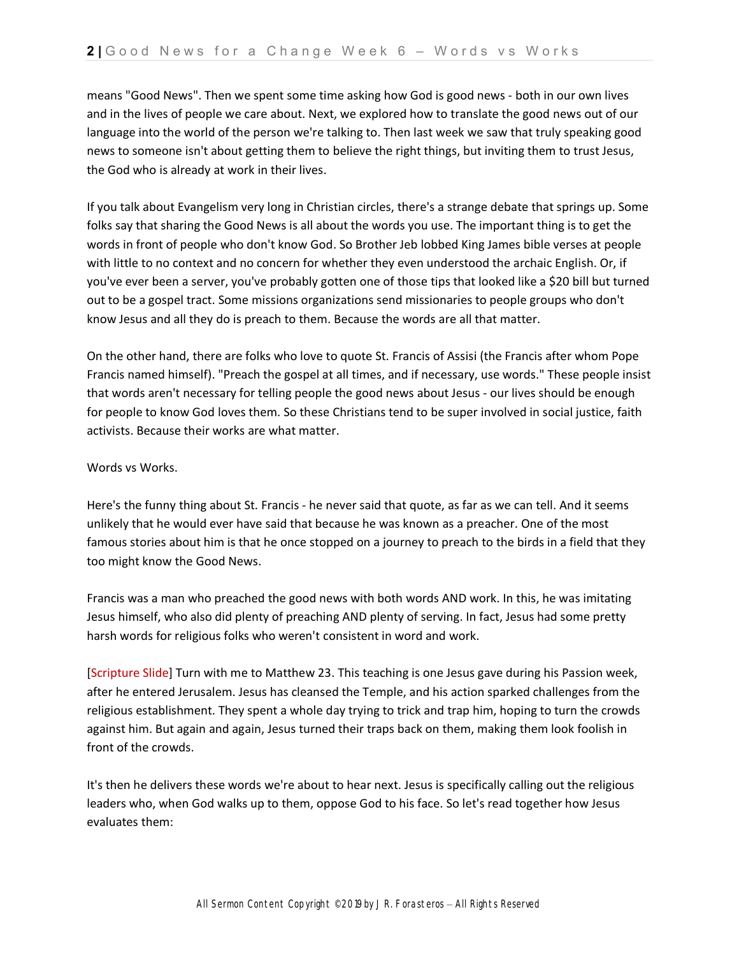means "Good News". Then we spent some time asking how God is good news - both in our own lives and in the lives of people we care about. Next, we explored how to translate the good news out of our language into the world of the person we're talking to. Then last week we saw that truly speaking good news to someone isn't about getting them to believe the right things, but inviting them to trust Jesus, the God who is already at work in their lives.

If you talk about Evangelism very long in Christian circles, there's a strange debate that springs up. Some folks say that sharing the Good News is all about the words you use. The important thing is to get the words in front of people who don't know God. So Brother Jeb lobbed King James bible verses at people with little to no context and no concern for whether they even understood the archaic English. Or, if you've ever been a server, you've probably gotten one of those tips that looked like a \$20 bill but turned out to be a gospel tract. Some missions organizations send missionaries to people groups who don't know Jesus and all they do is preach to them. Because the words are all that matter.

On the other hand, there are folks who love to quote St. Francis of Assisi (the Francis after whom Pope Francis named himself). "Preach the gospel at all times, and if necessary, use words." These people insist that words aren't necessary for telling people the good news about Jesus - our lives should be enough for people to know God loves them. So these Christians tend to be super involved in social justice, faith activists. Because their works are what matter.

# Words vs Works.

Here's the funny thing about St. Francis - he never said that quote, as far as we can tell. And it seems unlikely that he would ever have said that because he was known as a preacher. One of the most famous stories about him is that he once stopped on a journey to preach to the birds in a field that they too might know the Good News.

Francis was a man who preached the good news with both words AND work. In this, he was imitating Jesus himself, who also did plenty of preaching AND plenty of serving. In fact, Jesus had some pretty harsh words for religious folks who weren't consistent in word and work.

[Scripture Slide] Turn with me to Matthew 23. This teaching is one Jesus gave during his Passion week, after he entered Jerusalem. Jesus has cleansed the Temple, and his action sparked challenges from the religious establishment. They spent a whole day trying to trick and trap him, hoping to turn the crowds against him. But again and again, Jesus turned their traps back on them, making them look foolish in front of the crowds.

It's then he delivers these words we're about to hear next. Jesus is specifically calling out the religious leaders who, when God walks up to them, oppose God to his face. So let's read together how Jesus evaluates them: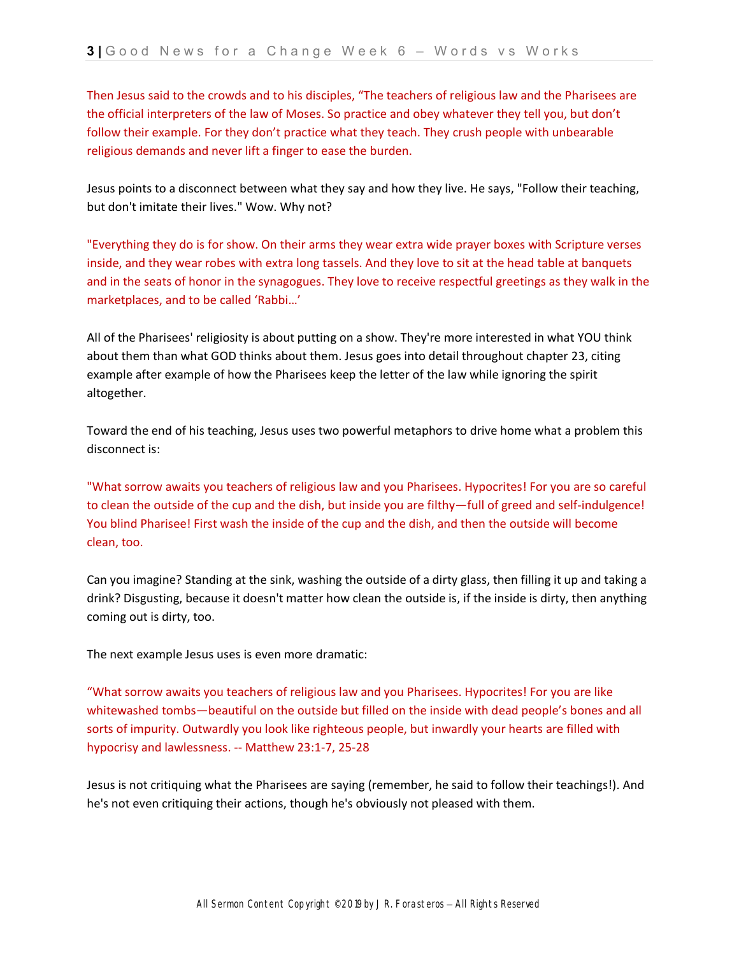Then Jesus said to the crowds and to his disciples, "The teachers of religious law and the Pharisees are the official interpreters of the law of Moses. So practice and obey whatever they tell you, but don't follow their example. For they don't practice what they teach. They crush people with unbearable religious demands and never lift a finger to ease the burden.

Jesus points to a disconnect between what they say and how they live. He says, "Follow their teaching, but don't imitate their lives." Wow. Why not?

"Everything they do is for show. On their arms they wear extra wide prayer boxes with Scripture verses inside, and they wear robes with extra long tassels. And they love to sit at the head table at banquets and in the seats of honor in the synagogues. They love to receive respectful greetings as they walk in the marketplaces, and to be called 'Rabbi…'

All of the Pharisees' religiosity is about putting on a show. They're more interested in what YOU think about them than what GOD thinks about them. Jesus goes into detail throughout chapter 23, citing example after example of how the Pharisees keep the letter of the law while ignoring the spirit altogether.

Toward the end of his teaching, Jesus uses two powerful metaphors to drive home what a problem this disconnect is:

"What sorrow awaits you teachers of religious law and you Pharisees. Hypocrites! For you are so careful to clean the outside of the cup and the dish, but inside you are filthy—full of greed and self-indulgence! You blind Pharisee! First wash the inside of the cup and the dish, and then the outside will become clean, too.

Can you imagine? Standing at the sink, washing the outside of a dirty glass, then filling it up and taking a drink? Disgusting, because it doesn't matter how clean the outside is, if the inside is dirty, then anything coming out is dirty, too.

The next example Jesus uses is even more dramatic:

"What sorrow awaits you teachers of religious law and you Pharisees. Hypocrites! For you are like whitewashed tombs—beautiful on the outside but filled on the inside with dead people's bones and all sorts of impurity. Outwardly you look like righteous people, but inwardly your hearts are filled with hypocrisy and lawlessness. -- Matthew 23:1-7, 25-28

Jesus is not critiquing what the Pharisees are saying (remember, he said to follow their teachings!). And he's not even critiquing their actions, though he's obviously not pleased with them.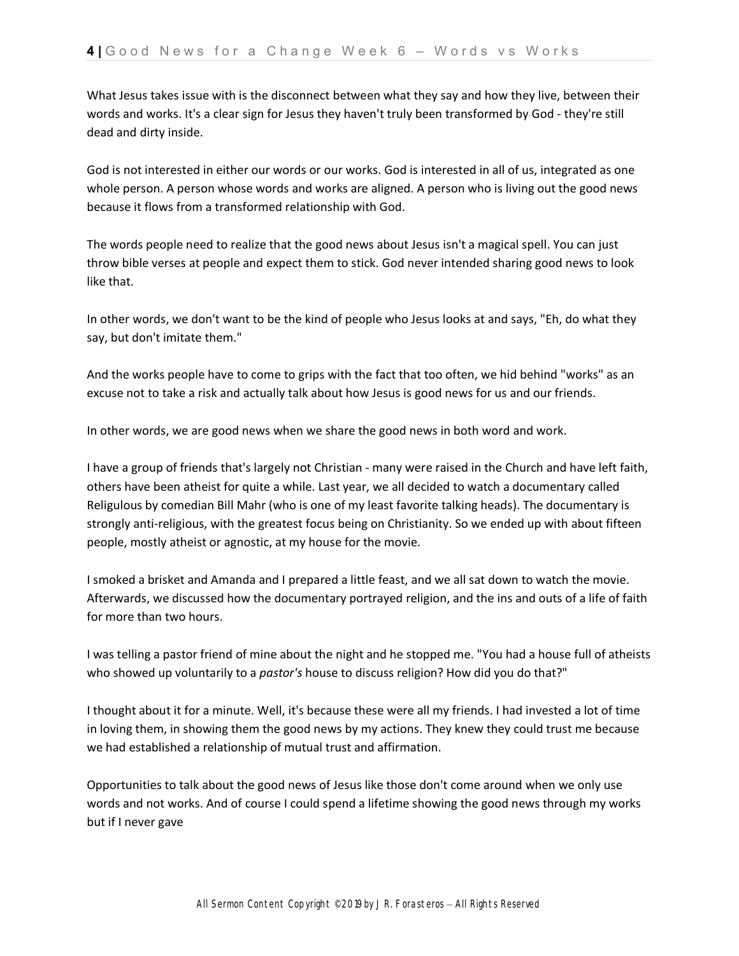What Jesus takes issue with is the disconnect between what they say and how they live, between their words and works. It's a clear sign for Jesus they haven't truly been transformed by God - they're still dead and dirty inside.

God is not interested in either our words or our works. God is interested in all of us, integrated as one whole person. A person whose words and works are aligned. A person who is living out the good news because it flows from a transformed relationship with God.

The words people need to realize that the good news about Jesus isn't a magical spell. You can just throw bible verses at people and expect them to stick. God never intended sharing good news to look like that.

In other words, we don't want to be the kind of people who Jesus looks at and says, "Eh, do what they say, but don't imitate them."

And the works people have to come to grips with the fact that too often, we hid behind "works" as an excuse not to take a risk and actually talk about how Jesus is good news for us and our friends.

In other words, we are good news when we share the good news in both word and work.

I have a group of friends that's largely not Christian - many were raised in the Church and have left faith, others have been atheist for quite a while. Last year, we all decided to watch a documentary called Religulous by comedian Bill Mahr (who is one of my least favorite talking heads). The documentary is strongly anti-religious, with the greatest focus being on Christianity. So we ended up with about fifteen people, mostly atheist or agnostic, at my house for the movie.

I smoked a brisket and Amanda and I prepared a little feast, and we all sat down to watch the movie. Afterwards, we discussed how the documentary portrayed religion, and the ins and outs of a life of faith for more than two hours.

I was telling a pastor friend of mine about the night and he stopped me. "You had a house full of atheists who showed up voluntarily to a *pastor's* house to discuss religion? How did you do that?"

I thought about it for a minute. Well, it's because these were all my friends. I had invested a lot of time in loving them, in showing them the good news by my actions. They knew they could trust me because we had established a relationship of mutual trust and affirmation.

Opportunities to talk about the good news of Jesus like those don't come around when we only use words and not works. And of course I could spend a lifetime showing the good news through my works but if I never gave